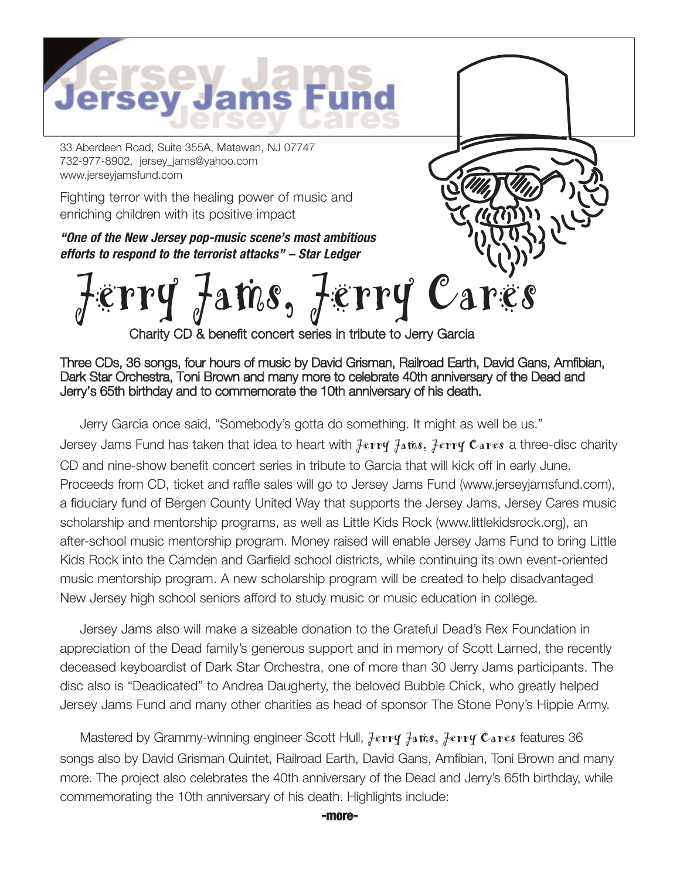

33 Aberdeen Road, Suite 355A, Matawan, NJ 07747 732-977-8902, jersey\_jams@yahoo.com www.jerseyjamsfund.com

Fighting terror with the healing power of music and enriching children with its positive impact

**"One of the New Jersey pop-music scene's most ambitious efforts to respond to the terrorist attacks" – Star Ledger**

**Jerry Jams, Jerry Cares**

Charity CD & benefit concert series in tribute to Jerry Garcia

## Three CDs, 36 songs, four hours of music by David Grisman, Railroad Earth, David Gans, Amfibian, Dark Star Orchestra, Toni Brown and many more to celebrate 40th anniversary of the Dead and Jerry's 65th birthday and to commemorate the 10th anniversary of his death.

Jerry Garcia once said, "Somebody's gotta do something. It might as well be us." Jersey Jams Fund has taken that idea to heart with **Jerry Jams, Jerry Cares** a three-disc charity CD and nine-show benefit concert series in tribute to Garcia that will kick off in early June. Proceeds from CD, ticket and raffle sales will go to Jersey Jams Fund (www.jerseyjamsfund.com), a fiduciary fund of Bergen County United Way that supports the Jersey Jams, Jersey Cares music scholarship and mentorship programs, as well as Little Kids Rock (www.littlekidsrock.org), an after-school music mentorship program. Money raised will enable Jersey Jams Fund to bring Little Kids Rock into the Camden and Garfield school districts, while continuing its own event-oriented music mentorship program. A new scholarship program will be created to help disadvantaged New Jersey high school seniors afford to study music or music education in college.

Jersey Jams also will make a sizeable donation to the Grateful Dead's Rex Foundation in appreciation of the Dead family's generous support and in memory of Scott Larned, the recently deceased keyboardist of Dark Star Orchestra, one of more than 30 Jerry Jams participants. The disc also is "Deadicated" to Andrea Daugherty, the beloved Bubble Chick, who greatly helped Jersey Jams Fund and many other charities as head of sponsor The Stone Pony's Hippie Army.

Mastered by Grammy-winning engineer Scott Hull, **Jerry Jams, Jerry Cares** features 36 songs also by David Grisman Quintet, Railroad Earth, David Gans, Amfibian, Toni Brown and many more. The project also celebrates the 40th anniversary of the Dead and Jerry's 65th birthday, while commemorating the 10th anniversary of his death. Highlights include:

**-more-**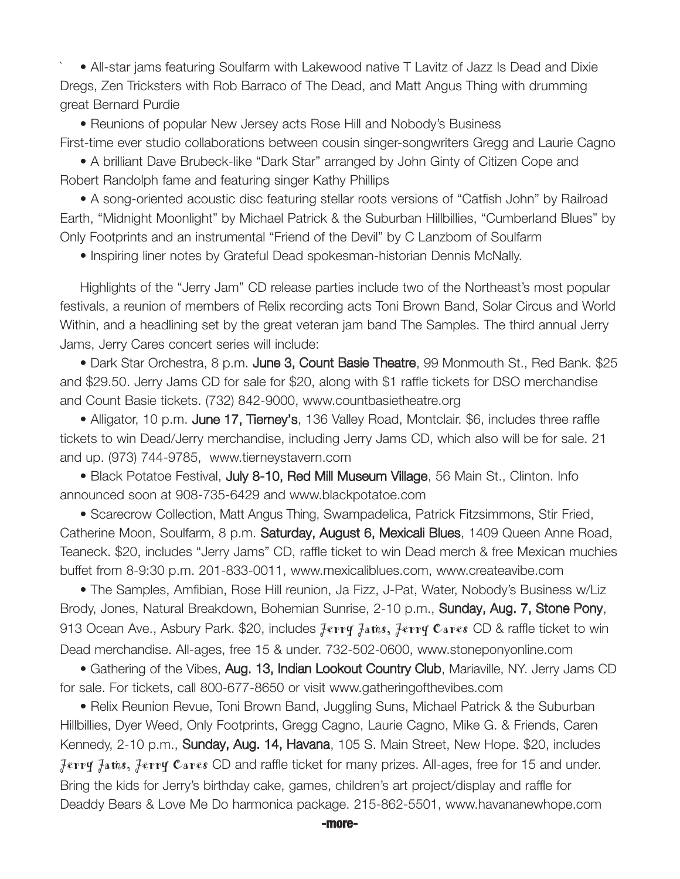• All-star jams featuring Soulfarm with Lakewood native T Lavitz of Jazz Is Dead and Dixie Dregs, Zen Tricksters with Rob Barraco of The Dead, and Matt Angus Thing with drumming great Bernard Purdie

• Reunions of popular New Jersey acts Rose Hill and Nobody's Business First-time ever studio collaborations between cousin singer-songwriters Gregg and Laurie Cagno

• A brilliant Dave Brubeck-like "Dark Star" arranged by John Ginty of Citizen Cope and Robert Randolph fame and featuring singer Kathy Phillips

• A song-oriented acoustic disc featuring stellar roots versions of "Catfish John" by Railroad Earth, "Midnight Moonlight" by Michael Patrick & the Suburban Hillbillies, "Cumberland Blues" by Only Footprints and an instrumental "Friend of the Devil" by C Lanzbom of Soulfarm

• Inspiring liner notes by Grateful Dead spokesman-historian Dennis McNally.

Highlights of the "Jerry Jam" CD release parties include two of the Northeast's most popular festivals, a reunion of members of Relix recording acts Toni Brown Band, Solar Circus and World Within, and a headlining set by the great veteran jam band The Samples. The third annual Jerry Jams, Jerry Cares concert series will include:

• Dark Star Orchestra, 8 p.m. June 3, Count Basie Theatre, 99 Monmouth St., Red Bank. \$25 and \$29.50. Jerry Jams CD for sale for \$20, along with \$1 raffle tickets for DSO merchandise and Count Basie tickets. (732) 842-9000, www.countbasietheatre.org

• Alligator, 10 p.m. June 17, Tierney's, 136 Valley Road, Montclair. \$6, includes three raffle tickets to win Dead/Jerry merchandise, including Jerry Jams CD, which also will be for sale. 21 and up. (973) 744-9785, www.tierneystavern.com

• Black Potatoe Festival, July 8-10, Red Mill Museum Village, 56 Main St., Clinton. Info announced soon at 908-735-6429 and www.blackpotatoe.com

• Scarecrow Collection, Matt Angus Thing, Swampadelica, Patrick Fitzsimmons, Stir Fried, Catherine Moon, Soulfarm, 8 p.m. Saturday, August 6, Mexicali Blues, 1409 Queen Anne Road, Teaneck. \$20, includes "Jerry Jams" CD, raffle ticket to win Dead merch & free Mexican muchies buffet from 8-9:30 p.m. 201-833-0011, www.mexicaliblues.com, www.createavibe.com

• The Samples, Amfibian, Rose Hill reunion, Ja Fizz, J-Pat, Water, Nobody's Business w/Liz Brody, Jones, Natural Breakdown, Bohemian Sunrise, 2-10 p.m., **Sunday, Aug. 7, Stone Pony**, 913 Ocean Ave., Asbury Park. \$20, includes **Jerry Jams, Jerry Cares** CD & raffle ticket to win Dead merchandise. All-ages, free 15 & under. 732-502-0600, www.stoneponyonline.com

• Gathering of the Vibes, Aug. 13, Indian Lookout Country Club, Mariaville, NY. Jerry Jams CD for sale. For tickets, call 800-677-8650 or visit www.gatheringofthevibes.com

• Relix Reunion Revue, Toni Brown Band, Juggling Suns, Michael Patrick & the Suburban Hillbillies, Dyer Weed, Only Footprints, Gregg Cagno, Laurie Cagno, Mike G. & Friends, Caren Kennedy, 2-10 p.m., Sunday, Aug. 14, Havana, 105 S. Main Street, New Hope. \$20, includes **Jerry Jams, Jerry Cares** CD and raffle ticket for many prizes. All-ages, free for 15 and under. Bring the kids for Jerry's birthday cake, games, children's art project/display and raffle for Deaddy Bears & Love Me Do harmonica package. 215-862-5501, www.havananewhope.com